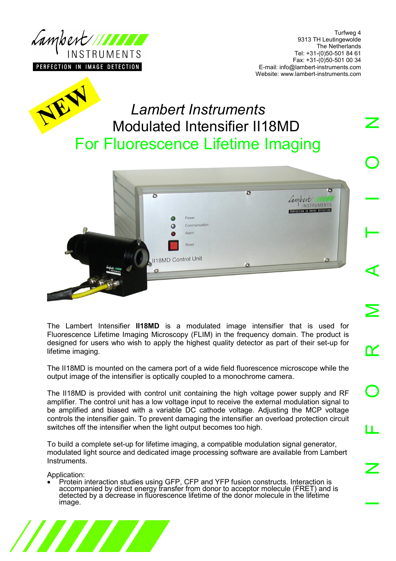

Turfweg 4 9313 TH Leutingewolde The Netherlands Tel: +31-(0)50-501 84 61 Fax: +31-(0)50-501 00 34 E-mail: info@lambert-instruments.com Website: www.lambert-instruments.com



# *Lambert Instruments* Modulated Intensifier II18MD For Fluorescence Lifetime Imaging



The Lambert Intensifier **II18MD** is a modulated image intensifier that is used for Fluorescence Lifetime Imaging Microscopy (FLIM) in the frequency domain. The product is designed for users who wish to apply the highest quality detector as part of their set-up for lifetime imaging.

The II18MD is mounted on the camera port of a wide field fluorescence microscope while the output image of the intensifier is optically coupled to a monochrome camera.

The II18MD is provided with control unit containing the high voltage power supply and RF amplifier. The control unit has a low voltage input to receive the external modulation signal to be amplified and biased with a variable DC cathode voltage. Adjusting the MCP voltage controls the intensifier gain. To prevent damaging the intensifier an overload protection circuit switches off the intensifier when the light output becomes too high.

To build a complete set-up for lifetime imaging, a compatible modulation signal generator, modulated light source and dedicated image processing software are available from Lambert Instruments.

Application:

• Protein interaction studies using GFP, CFP and YFP fusion constructs. Interaction is accompanied by direct energy transfer from donor to acceptor molecule (FRET) and is detected by a decrease in fluorescence lifetime of the donor molecule in the lifetime image.